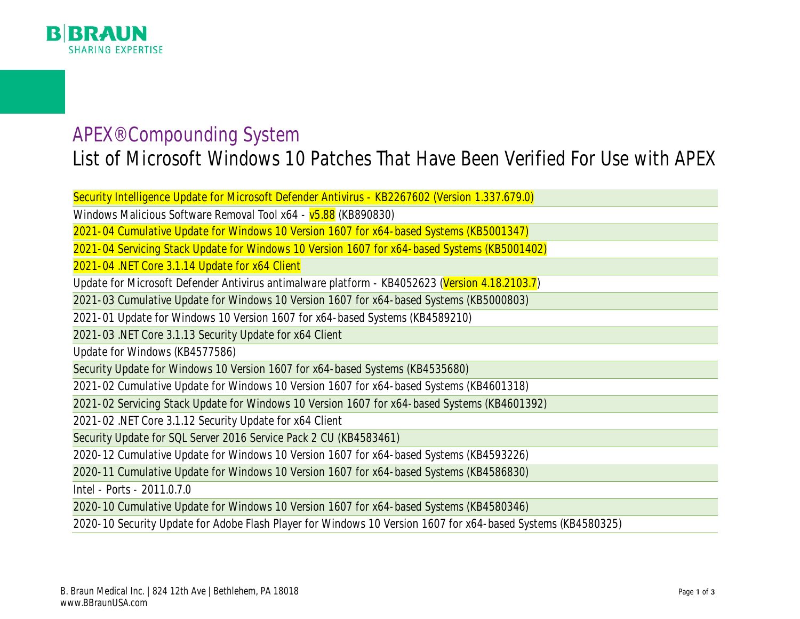

## APEX® Compounding System List of Microsoft Windows 10 Patches That Have Been Verified For Use with APEX

Security Intelligence Update for Microsoft Defender Antivirus - KB2267602 (Version 1.337.679.0)

Windows Malicious Software Removal Tool x64 - v5.88 (KB890830)

2021-04 Cumulative Update for Windows 10 Version 1607 for x64-based Systems (KB5001347)

2021-04 Servicing Stack Update for Windows 10 Version 1607 for x64-based Systems (KB5001402)

2021-04 .NET Core 3.1.14 Update for x64 Client

Update for Microsoft Defender Antivirus antimalware platform - KB4052623 (Version 4.18.2103.7)

2021-03 Cumulative Update for Windows 10 Version 1607 for x64-based Systems (KB5000803)

2021-01 Update for Windows 10 Version 1607 for x64-based Systems (KB4589210)

2021-03 .NET Core 3.1.13 Security Update for x64 Client

Update for Windows (KB4577586)

Security Update for Windows 10 Version 1607 for x64-based Systems (KB4535680)

2021-02 Cumulative Update for Windows 10 Version 1607 for x64-based Systems (KB4601318)

2021-02 Servicing Stack Update for Windows 10 Version 1607 for x64-based Systems (KB4601392)

2021-02 .NET Core 3.1.12 Security Update for x64 Client

Security Update for SQL Server 2016 Service Pack 2 CU (KB4583461)

2020-12 Cumulative Update for Windows 10 Version 1607 for x64-based Systems (KB4593226)

2020-11 Cumulative Update for Windows 10 Version 1607 for x64-based Systems (KB4586830)

Intel - Ports - 2011.0.7.0

2020-10 Cumulative Update for Windows 10 Version 1607 for x64-based Systems (KB4580346)

2020-10 Security Update for Adobe Flash Player for Windows 10 Version 1607 for x64-based Systems (KB4580325)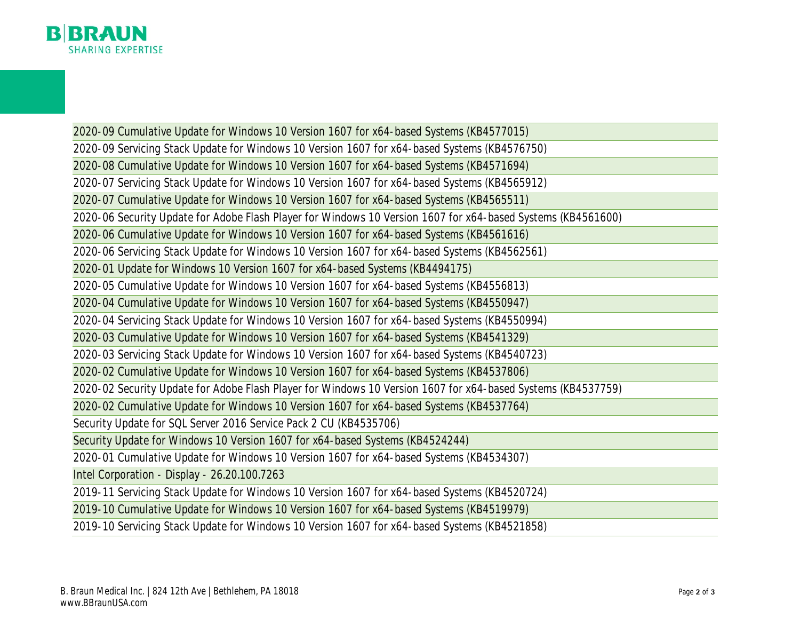

2020-09 Cumulative Update for Windows 10 Version 1607 for x64-based Systems (KB4577015) 2020-09 Servicing Stack Update for Windows 10 Version 1607 for x64-based Systems (KB4576750) 2020-08 Cumulative Update for Windows 10 Version 1607 for x64-based Systems (KB4571694) 2020-07 Servicing Stack Update for Windows 10 Version 1607 for x64-based Systems (KB4565912) 2020-07 Cumulative Update for Windows 10 Version 1607 for x64-based Systems (KB4565511) 2020-06 Security Update for Adobe Flash Player for Windows 10 Version 1607 for x64-based Systems (KB4561600) 2020-06 Cumulative Update for Windows 10 Version 1607 for x64-based Systems (KB4561616) 2020-06 Servicing Stack Update for Windows 10 Version 1607 for x64-based Systems (KB4562561) 2020-01 Update for Windows 10 Version 1607 for x64-based Systems (KB4494175) 2020-05 Cumulative Update for Windows 10 Version 1607 for x64-based Systems (KB4556813) 2020-04 Cumulative Update for Windows 10 Version 1607 for x64-based Systems (KB4550947) 2020-04 Servicing Stack Update for Windows 10 Version 1607 for x64-based Systems (KB4550994) 2020-03 Cumulative Update for Windows 10 Version 1607 for x64-based Systems (KB4541329) 2020-03 Servicing Stack Update for Windows 10 Version 1607 for x64-based Systems (KB4540723) 2020-02 Cumulative Update for Windows 10 Version 1607 for x64-based Systems (KB4537806) 2020-02 Security Update for Adobe Flash Player for Windows 10 Version 1607 for x64-based Systems (KB4537759) 2020-02 Cumulative Update for Windows 10 Version 1607 for x64-based Systems (KB4537764) Security Update for SQL Server 2016 Service Pack 2 CU (KB4535706) Security Update for Windows 10 Version 1607 for x64-based Systems (KB4524244) 2020-01 Cumulative Update for Windows 10 Version 1607 for x64-based Systems (KB4534307) Intel Corporation - Display - 26.20.100.7263 2019-11 Servicing Stack Update for Windows 10 Version 1607 for x64-based Systems (KB4520724) 2019-10 Cumulative Update for Windows 10 Version 1607 for x64-based Systems (KB4519979) 2019-10 Servicing Stack Update for Windows 10 Version 1607 for x64-based Systems (KB4521858)